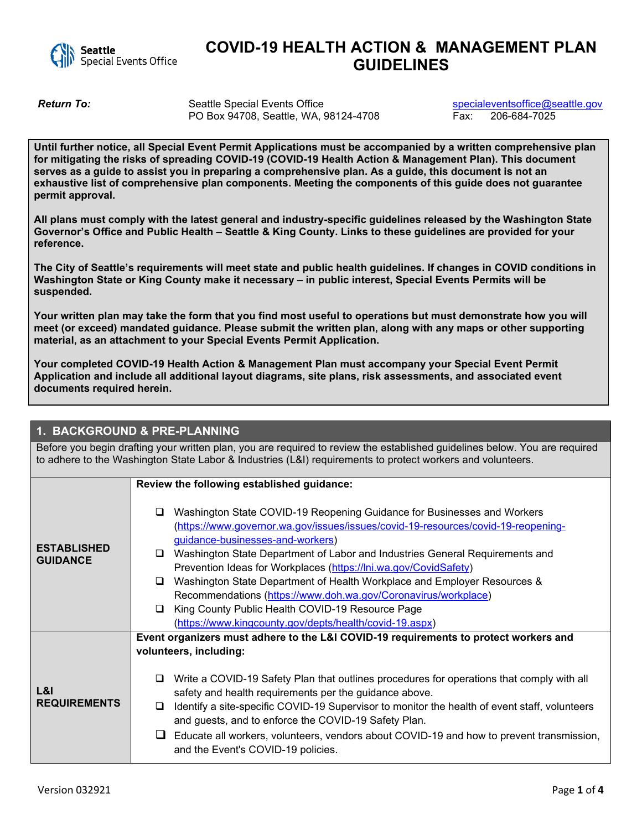

## **COVID-19 HEALTH ACTION & MANAGEMENT PLAN GUIDELINES**

**Return To:** Seattle Special Events Office special events of the special events of the special events of the special events of the special events of the special events of the Special events of the Special events of the Spe PO Box 94708, Seattle, WA, 98124-4708

**Until further notice, all Special Event Permit Applications must be accompanied by a written comprehensive plan for mitigating the risks of spreading COVID-19 (COVID-19 Health Action & Management Plan). This document serves as a guide to assist you in preparing a comprehensive plan. As a guide, this document is not an exhaustive list of comprehensive plan components. Meeting the components of this guide does not guarantee permit approval.**

**All plans must comply with the latest general and industry-specific guidelines released by the Washington State Governor's Office and Public Health – Seattle & King County. Links to these guidelines are provided for your reference.**

**The City of Seattle's requirements will meet state and public health guidelines. If changes in COVID conditions in Washington State or King County make it necessary – in public interest, Special Events Permits will be suspended.**

**Your written plan may take the form that you find most useful to operations but must demonstrate how you will meet (or exceed) mandated guidance. Please submit the written plan, along with any maps or other supporting material, as an attachment to your Special Events Permit Application.**

**Your completed COVID-19 Health Action & Management Plan must accompany your Special Event Permit Application and include all additional layout diagrams, site plans, risk assessments, and associated event documents required herein.**

## **1. BACKGROUND & PRE-PLANNING**

Before you begin drafting your written plan, you are required to review the established guidelines below. You are required to adhere to the Washington State Labor & Industries (L&I) requirements to protect workers and volunteers.

|                                       | Review the following established guidance:                                                                                                                                                                                                                                                                                                                                                                                                                                                                                                                                                                                                 |
|---------------------------------------|--------------------------------------------------------------------------------------------------------------------------------------------------------------------------------------------------------------------------------------------------------------------------------------------------------------------------------------------------------------------------------------------------------------------------------------------------------------------------------------------------------------------------------------------------------------------------------------------------------------------------------------------|
| <b>ESTABLISHED</b><br><b>GUIDANCE</b> | Washington State COVID-19 Reopening Guidance for Businesses and Workers<br>❏<br>(https://www.governor.wa.gov/issues/issues/covid-19-resources/covid-19-reopening-<br>guidance-businesses-and-workers)<br>Washington State Department of Labor and Industries General Requirements and<br>⊔<br>Prevention Ideas for Workplaces (https://lni.wa.gov/CovidSafety)<br>Washington State Department of Health Workplace and Employer Resources &<br>⊔<br>Recommendations (https://www.doh.wa.gov/Coronavirus/workplace)<br>King County Public Health COVID-19 Resource Page<br>$\Box$<br>(https://www.kingcounty.gov/depts/health/covid-19.aspx) |
| L&I<br><b>REQUIREMENTS</b>            | Event organizers must adhere to the L&I COVID-19 requirements to protect workers and<br>volunteers, including:<br>Write a COVID-19 Safety Plan that outlines procedures for operations that comply with all<br>⊔<br>safety and health requirements per the guidance above.<br>Identify a site-specific COVID-19 Supervisor to monitor the health of event staff, volunteers<br>❏<br>and guests, and to enforce the COVID-19 Safety Plan.<br>Educate all workers, volunteers, vendors about COVID-19 and how to prevent transmission,<br>and the Event's COVID-19 policies.                                                                 |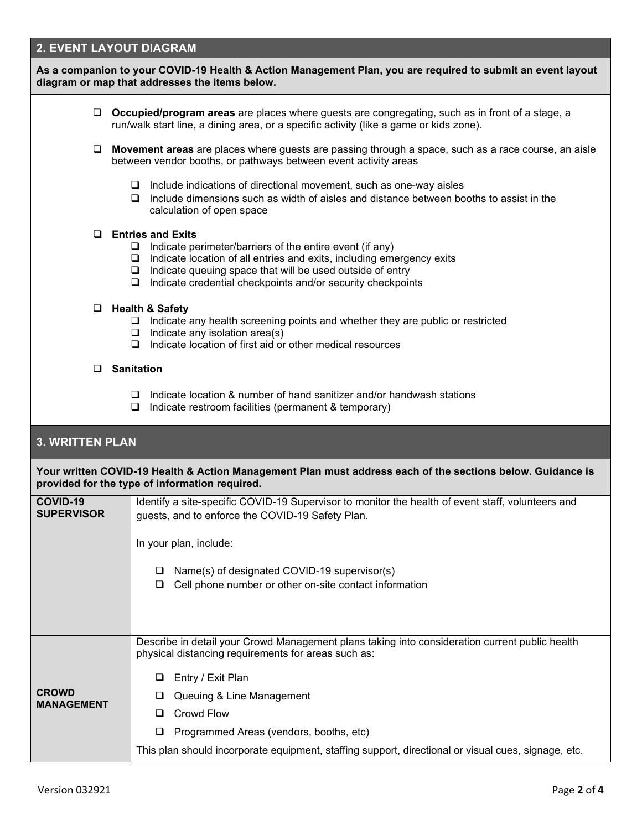## **2. EVENT LAYOUT DIAGRAM**

| As a companion to your COVID-19 Health & Action Management Plan, you are required to submit an event layout<br>diagram or map that addresses the items below. |                                                                                                                                                                                                                                                                                                                          |  |  |  |
|---------------------------------------------------------------------------------------------------------------------------------------------------------------|--------------------------------------------------------------------------------------------------------------------------------------------------------------------------------------------------------------------------------------------------------------------------------------------------------------------------|--|--|--|
| u.                                                                                                                                                            | <b>Occupied/program areas</b> are places where guests are congregating, such as in front of a stage, a<br>run/walk start line, a dining area, or a specific activity (like a game or kids zone).                                                                                                                         |  |  |  |
|                                                                                                                                                               | □ Movement areas are places where guests are passing through a space, such as a race course, an aisle<br>between vendor booths, or pathways between event activity areas                                                                                                                                                 |  |  |  |
|                                                                                                                                                               | $\Box$ Include indications of directional movement, such as one-way aisles<br>$\Box$ Include dimensions such as width of aisles and distance between booths to assist in the<br>calculation of open space                                                                                                                |  |  |  |
| $\Box$                                                                                                                                                        | <b>Entries and Exits</b><br>$\Box$ Indicate perimeter/barriers of the entire event (if any)<br>$\Box$ Indicate location of all entries and exits, including emergency exits<br>$\Box$ Indicate queuing space that will be used outside of entry<br>Indicate credential checkpoints and/or security checkpoints<br>$\Box$ |  |  |  |
|                                                                                                                                                               | □ Health & Safety<br>$\Box$ Indicate any health screening points and whether they are public or restricted<br>$\Box$ Indicate any isolation area(s)<br>$\Box$ Indicate location of first aid or other medical resources                                                                                                  |  |  |  |
|                                                                                                                                                               | $\Box$ Sanitation                                                                                                                                                                                                                                                                                                        |  |  |  |
|                                                                                                                                                               | $\Box$ Indicate location & number of hand sanitizer and/or handwash stations<br>$\Box$ Indicate restroom facilities (permanent & temporary)                                                                                                                                                                              |  |  |  |
| <b>3. WRITTEN PLAN</b>                                                                                                                                        |                                                                                                                                                                                                                                                                                                                          |  |  |  |
|                                                                                                                                                               | Your written COVID-19 Health & Action Management Plan must address each of the sections below. Guidance is<br>provided for the type of information required.                                                                                                                                                             |  |  |  |
| COVID-19<br><b>SUPERVISOR</b>                                                                                                                                 | Identify a site-specific COVID-19 Supervisor to monitor the health of event staff, volunteers and<br>guests, and to enforce the COVID-19 Safety Plan.                                                                                                                                                                    |  |  |  |
|                                                                                                                                                               | In your plan, include:                                                                                                                                                                                                                                                                                                   |  |  |  |
|                                                                                                                                                               | Name(s) of designated COVID-19 supervisor(s)<br>u<br>Cell phone number or other on-site contact information<br>⊔                                                                                                                                                                                                         |  |  |  |
|                                                                                                                                                               | Describe in detail your Crowd Management plans taking into consideration current public health<br>physical distancing requirements for areas such as:                                                                                                                                                                    |  |  |  |
|                                                                                                                                                               | Entry / Exit Plan<br>❏                                                                                                                                                                                                                                                                                                   |  |  |  |
| <b>CROWD</b>                                                                                                                                                  | Queuing & Line Management<br>ப                                                                                                                                                                                                                                                                                           |  |  |  |
| <b>MANAGEMENT</b>                                                                                                                                             | Crowd Flow<br>⊔                                                                                                                                                                                                                                                                                                          |  |  |  |
|                                                                                                                                                               | Programmed Areas (vendors, booths, etc)<br>❏                                                                                                                                                                                                                                                                             |  |  |  |
|                                                                                                                                                               | This plan should incorporate equipment, staffing support, directional or visual cues, signage, etc.                                                                                                                                                                                                                      |  |  |  |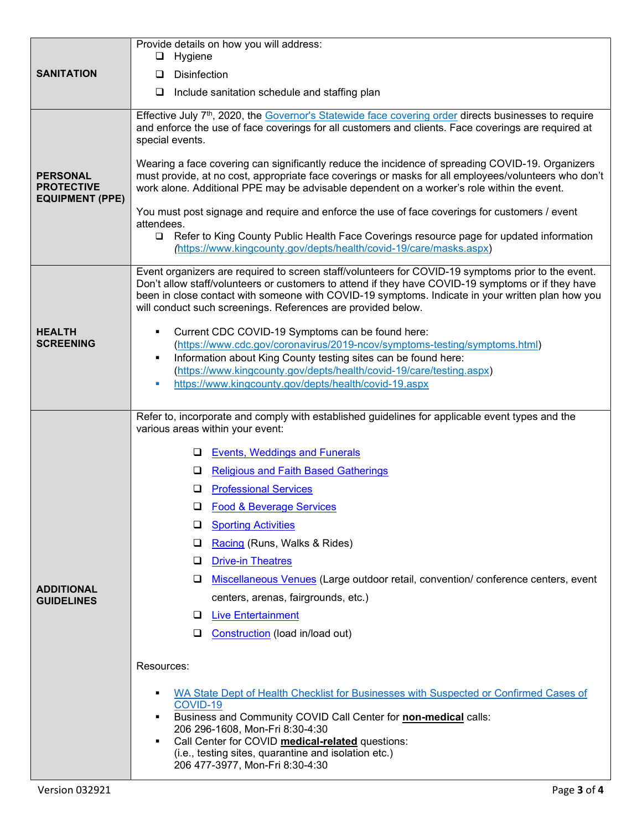| <b>SANITATION</b>                                              | Provide details on how you will address:<br>Hygiene<br>□                                                                                                                                                                                                                                                                                                                                                                                                                                                                                                                                                                                                                                                                                                                                                                                                                                                                                                                                                           |
|----------------------------------------------------------------|--------------------------------------------------------------------------------------------------------------------------------------------------------------------------------------------------------------------------------------------------------------------------------------------------------------------------------------------------------------------------------------------------------------------------------------------------------------------------------------------------------------------------------------------------------------------------------------------------------------------------------------------------------------------------------------------------------------------------------------------------------------------------------------------------------------------------------------------------------------------------------------------------------------------------------------------------------------------------------------------------------------------|
|                                                                | <b>Disinfection</b><br>⊔                                                                                                                                                                                                                                                                                                                                                                                                                                                                                                                                                                                                                                                                                                                                                                                                                                                                                                                                                                                           |
|                                                                | $\Box$<br>Include sanitation schedule and staffing plan                                                                                                                                                                                                                                                                                                                                                                                                                                                                                                                                                                                                                                                                                                                                                                                                                                                                                                                                                            |
| <b>PERSONAL</b><br><b>PROTECTIVE</b><br><b>EQUIPMENT (PPE)</b> | Effective July 7 <sup>th</sup> , 2020, the Governor's Statewide face covering order directs businesses to require<br>and enforce the use of face coverings for all customers and clients. Face coverings are required at<br>special events.<br>Wearing a face covering can significantly reduce the incidence of spreading COVID-19. Organizers<br>must provide, at no cost, appropriate face coverings or masks for all employees/volunteers who don't<br>work alone. Additional PPE may be advisable dependent on a worker's role within the event.<br>You must post signage and require and enforce the use of face coverings for customers / event<br>attendees.<br>Refer to King County Public Health Face Coverings resource page for updated information<br>$\Box$<br>(https://www.kingcounty.gov/depts/health/covid-19/care/masks.aspx)                                                                                                                                                                    |
| <b>HEALTH</b><br><b>SCREENING</b>                              | Event organizers are required to screen staff/volunteers for COVID-19 symptoms prior to the event.<br>Don't allow staff/volunteers or customers to attend if they have COVID-19 symptoms or if they have<br>been in close contact with someone with COVID-19 symptoms. Indicate in your written plan how you<br>will conduct such screenings. References are provided below.<br>Current CDC COVID-19 Symptoms can be found here:<br>٠<br>(https://www.cdc.gov/coronavirus/2019-ncov/symptoms-testing/symptoms.html)<br>Information about King County testing sites can be found here:<br>٠<br>(https://www.kingcounty.gov/depts/health/covid-19/care/testing.aspx)<br>https://www.kingcounty.gov/depts/health/covid-19.aspx<br>u,                                                                                                                                                                                                                                                                                  |
| <b>ADDITIONAL</b><br><b>GUIDELINES</b>                         | Refer to, incorporate and comply with established guidelines for applicable event types and the<br>various areas within your event:<br><b>Events, Weddings and Funerals</b><br>❏<br><b>Religious and Faith Based Gatherings</b><br>❏<br><b>Professional Services</b><br>⊔<br>D Food & Beverage Services<br><b>Sporting Activities</b><br>⊔<br>Racing (Runs, Walks & Rides)<br>⊔<br><b>Drive-in Theatres</b><br>❏<br>Miscellaneous Venues (Large outdoor retail, convention/ conference centers, event<br>❏<br>centers, arenas, fairgrounds, etc.)<br><b>Live Entertainment</b><br>⊔<br>Construction (load in/load out)<br>⊔<br>Resources:<br>WA State Dept of Health Checklist for Businesses with Suspected or Confirmed Cases of<br>٠<br>COVID-19<br>Business and Community COVID Call Center for non-medical calls:<br>٠<br>206 296-1608, Mon-Fri 8:30-4:30<br>Call Center for COVID medical-related questions:<br>٠<br>(i.e., testing sites, quarantine and isolation etc.)<br>206 477-3977, Mon-Fri 8:30-4:30 |